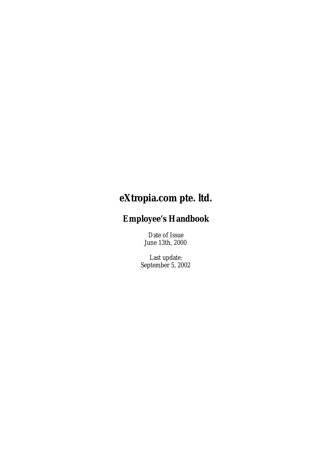# **eXtropia.com pte. ltd.**

# **Employee's Handbook**

Date of Issue June 13th, 2000

Last update: September 5, 2002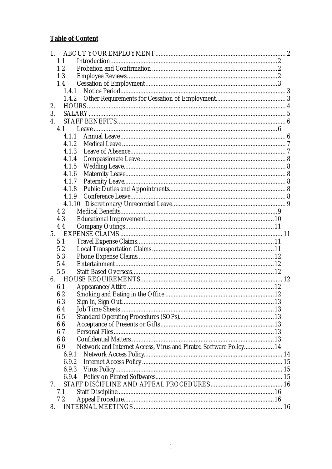# **Table of Content**

| 1.                                                                       |  |
|--------------------------------------------------------------------------|--|
| 1.1                                                                      |  |
| 1.2                                                                      |  |
| 1.3                                                                      |  |
| 1.4                                                                      |  |
|                                                                          |  |
| 1.4.2                                                                    |  |
| 2.                                                                       |  |
| 3.                                                                       |  |
| $\overline{4}$ .                                                         |  |
| 4.1                                                                      |  |
| 4.1.1                                                                    |  |
| 4.1.2                                                                    |  |
| 4.1.3                                                                    |  |
| 4.1.4                                                                    |  |
| 4.1.5                                                                    |  |
| 4.1.6                                                                    |  |
| 4.1.7                                                                    |  |
| 4.1.8                                                                    |  |
| 4.1.9                                                                    |  |
|                                                                          |  |
| 4.2                                                                      |  |
| 4.3                                                                      |  |
| 4.4                                                                      |  |
| 5.                                                                       |  |
| 5.1                                                                      |  |
| 5.2                                                                      |  |
| 5.3                                                                      |  |
| 5.4                                                                      |  |
| 5.5                                                                      |  |
| 6.                                                                       |  |
| 6.1                                                                      |  |
| 6.2                                                                      |  |
| 6.3                                                                      |  |
| 6.4                                                                      |  |
| 6.5                                                                      |  |
| 6.6                                                                      |  |
| 6.7                                                                      |  |
| 6.8                                                                      |  |
| Network and Internet Access, Virus and Pirated Software Policy 14<br>6.9 |  |
| 6.9.1                                                                    |  |
| 6.9.2                                                                    |  |
| 6.9.3                                                                    |  |
| 6.9.4                                                                    |  |
| 7.                                                                       |  |
| 7.1                                                                      |  |
| 7.2                                                                      |  |
| 8.                                                                       |  |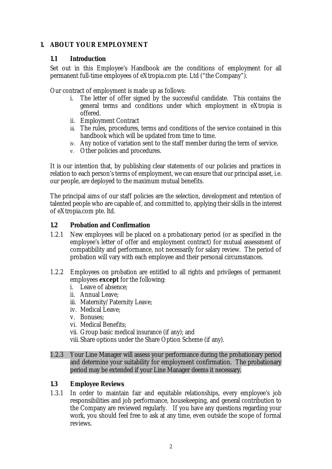## **1. ABOUT YOUR EMPLOYMENT**

#### **1.1 Introduction**

Set out in this Employee's Handbook are the conditions of employment for all permanent full-time employees of eXtropia.com pte. Ltd ("the Company").

Our contract of employment is made up as follows:

- i. The letter of offer signed by the successful candidate. This contains the general terms and conditions under which employment in eXtropia is offered.
- ii. Employment Contract
- iii. The rules, procedures, terms and conditions of the service contained in this handbook which will be updated from time to time.
- iv. Any notice of variation sent to the staff member during the term of service.
- v. Other policies and procedures.

It is our intention that, by publishing clear statements of our policies and practices in relation to each person's terms of employment, we can ensure that our principal asset, i.e. our people, are deployed to the maximum mutual benefits.

The principal aims of our staff policies are the selection, development and retention of talented people who are capable of, and committed to, applying their skills in the interest of eXtropia.com pte. ltd.

#### **1.2 Probation and Confirmation**

- 1.2.1 New employees will be placed on a probationary period (or as specified in the employee's letter of offer and employment contract) for mutual assessment of compatibility and performance, not necessarily for salary review. The period of probation will vary with each employee and their personal circumstances.
- 1.2.2 Employees on probation are entitled to all rights and privileges of permanent employees **except** for the following:
	- i. Leave of absence;
	- ii. Annual Leave;
	- iii. Maternity/Paternity Leave;
	- iv. Medical Leave;
	- v. Bonuses;
	- vi. Medical Benefits;
	- vii. Group basic medical insurance (if any); and
	- viii. Share options under the Share Option Scheme (if any).
- 1.2.3 Your Line Manager will assess your performance during the probationary period and determine your suitability for employment confirmation. The probationary period may be extended if your Line Manager deems it necessary.

#### **1.3 Employee Reviews**

1.3.1 In order to maintain fair and equitable relationships, every employee's job responsibilities and job performance, housekeeping, and general contribution to the Company are reviewed regularly. If you have any questions regarding your work, you should feel free to ask at any time, even outside the scope of formal reviews.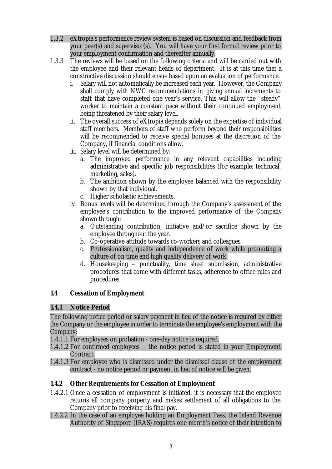- 1.3.2 eXtropia's performance review system is based on discussion and feedback from your peer(s) and supervisor(s). You will have your first formal review prior to your employment confirmation and thereafter annually.
- 1.3.3 The reviews will be based on the following criteria and will be carried out with the employee and their relevant heads of department. It is at this time that a constructive discussion should ensue based upon an evaluation of performance.
	- i. Salary will not automatically be increased each year. However, the Company shall comply with NWC recommendations in giving annual increments to staff that have completed one year's service. This will allow the "steady" worker to maintain a constant pace without their continued employment being threatened by their salary level.
	- ii. The overall success of eXtropia depends solely on the expertise of individual staff members. Members of staff who perform beyond their responsibilities will be recommended to receive special bonuses at the discretion of the Company, if financial conditions allow.
	- iii. Salary level will be determined by:
		- a. The improved performance in any relevant capabilities including administrative and specific job responsibilities (for example: technical, marketing, sales).
		- b. The ambition shown by the employee balanced with the responsibility shown by that individual.
		- c. Higher scholastic achievements.
	- iv. Bonus levels will be determined through the Company's assessment of the employee's contribution to the improved performance of the Company shown through:
		- a. Outstanding contribution, initiative and/or sacrifice shown by the employee throughout the year.
		- b. Co-operative attitude towards co-workers and colleagues.
		- c. Professionalism, quality and independence of work while promoting a culture of on time and high quality delivery of work.
		- d. Housekeeping punctuality, time sheet submission, administrative procedures that come with different tasks, adherence to office rules and procedures.

# **1.4 Cessation of Employment**

#### **1.4.1 Notice Period**

The following notice period or salary payment in lieu of the notice is required by either the Company or the employee in order to terminate the employee's employment with the Company:

1.4.1.1 For employees on probation - one-day notice is required.

- 1.4.1.2 For confirmed employees the notice period is stated in your Employment Contract.
- 1.4.1.3 For employee who is dismissed under the dismissal clause of the employment contract - no notice period or payment in lieu of notice will be given.

# **1.4.2 Other Requirements for Cessation of Employment**

- 1.4.2.1 Once a cessation of employment is initiated, it is necessary that the employee returns all company property and makes settlement of all obligations to the Company prior to receiving his final pay.
- 1.4.2.2 In the case of an employee holding an Employment Pass, the Inland Revenue Authority of Singapore (IRAS) requires one month's notice of their intention to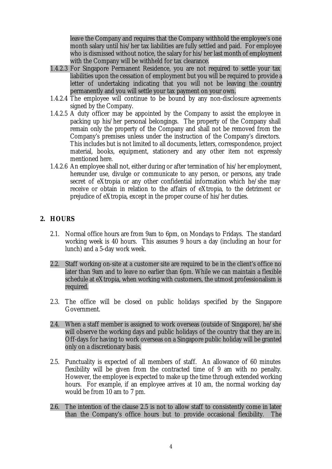leave the Company and requires that the Company withhold the employee's one month salary until his/her tax liabilities are fully settled and paid. For employee who is dismissed without notice, the salary for his/her last month of employment with the Company will be withheld for tax clearance.

- 1.4.2.3 For Singapore Permanent Residence, you are not required to settle your tax liabilities upon the cessation of employment but you will be required to provide a letter of undertaking indicating that you will not be leaving the country permanently and you will settle your tax payment on your own.
- 1.4.2.4 The employee will continue to be bound by any non-disclosure agreements signed by the Company.
- 1.4.2.5 A duty officer may be appointed by the Company to assist the employee in packing up his/her personal belongings. The property of the Company shall remain only the property of the Company and shall not be removed from the Company's premises unless under the instruction of the Company's directors. This includes but is not limited to all documents, letters, correspondence, project material, books, equipment, stationery and any other item not expressly mentioned here.
- 1.4.2.6 An employee shall not, either during or after termination of his/her employment, hereunder use, divulge or communicate to any person, or persons, any trade secret of eXtropia or any other confidential information which he/she may receive or obtain in relation to the affairs of eXtropia, to the detriment or prejudice of eXtropia, except in the proper course of his/her duties.

#### **2. HOURS**

- 2.1. Normal office hours are from 9am to 6pm, on Mondays to Fridays. The standard working week is 40 hours. This assumes 9 hours a day (including an hour for lunch) and a 5-day work week.
- 2.2. Staff working on-site at a customer site are required to be in the client's office no later than 9am and to leave no earlier than 6pm. While we can maintain a flexible schedule at eXtropia, when working with customers, the utmost professionalism is required.
- 2.3. The office will be closed on public holidays specified by the Singapore Government.
- 2.4. When a staff member is assigned to work overseas (outside of Singapore), he/she will observe the working days and public holidays of the country that they are in. Off-days for having to work overseas on a Singapore public holiday will be granted only on a discretionary basis.
- 2.5. Punctuality is expected of all members of staff. An allowance of 60 minutes flexibility will be given from the contracted time of 9 am with no penalty. However, the employee is expected to make up the time through extended working hours. For example, if an employee arrives at 10 am, the normal working day would be from 10 am to 7 pm.
- 2.6. The intention of the clause 2.5 is not to allow staff to consistently come in later than the Company's office hours but to provide occasional flexibility. The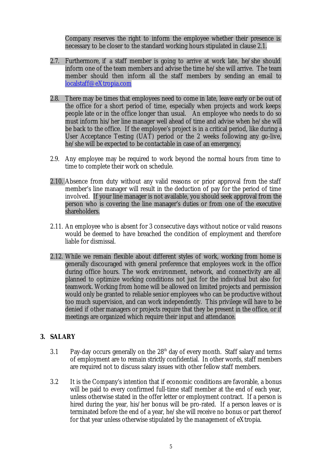Company reserves the right to inform the employee whether their presence is necessary to be closer to the standard working hours stipulated in clause 2.1.

- 2.7. Furthermore, if a staff member is going to arrive at work late, he/she should inform one of the team members and advise the time he/she will arrive. The team member should then inform all the staff members by sending an email to localstaff@eXtropia.com
- 2.8. There may be times that employees need to come in late, leave early or be out of the office for a short period of time, especially when projects and work keeps people late or in the office longer than usual. An employee who needs to do so must inform his/her line manager well ahead of time and advise when he/she will be back to the office. If the employee's project is in a critical period, like during a User Acceptance Testing (UAT) period or the 2 weeks following any go-live, he/she will be expected to be contactable in case of an emergency.
- 2.9. Any employee may be required to work beyond the normal hours from time to time to complete their work on schedule.
- 2.10. Absence from duty without any valid reasons or prior approval from the staff member's line manager will result in the deduction of pay for the period of time involved. If your line manager is not available, you should seek approval from the person who is covering the line manager's duties or from one of the executive shareholders.
- 2.11. An employee who is absent for 3 consecutive days without notice or valid reasons would be deemed to have breached the condition of employment and therefore liable for dismissal.
- 2.12. While we remain flexible about different styles of work, working from home is generally discouraged with general preference that employees work in the office during office hours. The work environment, network, and connectivity are all planned to optimize working conditions not just for the individual but also for teamwork. Working from home will be allowed on limited projects and permission would only be granted to reliable senior employees who can be productive without too much supervision, and can work independently. This privilege will have to be denied if other managers or projects require that they be present in the office, or if meetings are organized which require their input and attendance.

# **3. SALARY**

- 3.1 Pay-day occurs generally on the  $28<sup>th</sup>$  day of every month. Staff salary and terms of employment are to remain strictly confidential. In other words, staff members are required not to discuss salary issues with other fellow staff members.
- 3.2 It is the Company's intention that if economic conditions are favorable, a bonus will be paid to every confirmed full-time staff member at the end of each year, unless otherwise stated in the offer letter or employment contract. If a person is hired during the year, his/her bonus will be pro-rated. If a person leaves or is terminated before the end of a year, he/she will receive no bonus or part thereof for that year unless otherwise stipulated by the management of eXtropia.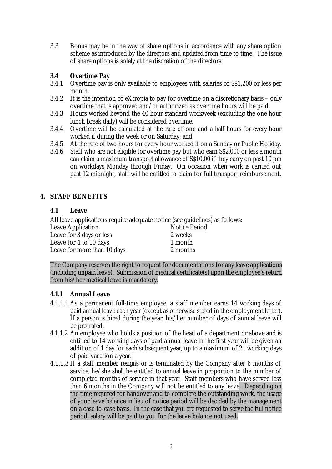3.3 Bonus may be in the way of share options in accordance with any share option scheme as introduced by the directors and updated from time to time. The issue of share options is solely at the discretion of the directors.

# **3.4 Overtime Pay**

- 3.4.1 Overtime pay is only available to employees with salaries of S\$1,200 or less per month.
- 3.4.2 It is the intention of eXtropia to pay for overtime on a discretionary basis only overtime that is approved and/or authorized as overtime hours will be paid.
- 3.4.3 Hours worked beyond the 40 hour standard workweek (excluding the one hour lunch break daily) will be considered overtime.
- 3.4.4 Overtime will be calculated at the rate of one and a half hours for every hour worked if during the week or on Saturday; and
- 3.4.5 At the rate of two hours for every hour worked if on a Sunday or Public Holiday.
- 3.4.6 Staff who are not eligible for overtime pay but who earn S\$2,000 or less a month can claim a maximum transport allowance of S\$10.00 if they carry on past 10 pm on workdays Monday through Friday. On occasion when work is carried out past 12 midnight, staff will be entitled to claim for full transport reimbursement.

# **4. STAFF BENEFITS**

#### **4.1 Leave**

All leave applications require adequate notice (see guidelines) as follows:

| <b>Notice Period</b> |
|----------------------|
| 2 weeks              |
| 1 month              |
| 2 months             |
|                      |

The Company reserves the right to request for documentations for any leave applications (including unpaid leave). Submission of medical certificate(s) upon the employee's return from his/her medical leave is mandatory.

# **4.1.1 Annual Leave**

- 4.1.1.1 As a permanent full-time employee, a staff member earns 14 working days of paid annual leave each year (except as otherwise stated in the employment letter). If a person is hired during the year, his/her number of days of annual leave will be pro-rated.
- 4.1.1.2 An employee who holds a position of the head of a department or above and is entitled to 14 working days of paid annual leave in the first year will be given an addition of 1 day for each subsequent year, up to a maximum of 21 working days of paid vacation a year.
- 4.1.1.3 If a staff member resigns or is terminated by the Company after 6 months of service, he/she shall be entitled to annual leave in proportion to the number of completed months of service in that year. Staff members who have served less than 6 months in the Company will not be entitled to any leave. Depending on the time required for handover and to complete the outstanding work, the usage of your leave balance in lieu of notice period will be decided by the management on a case-to-case basis. In the case that you are requested to serve the full notice period, salary will be paid to you for the leave balance not used.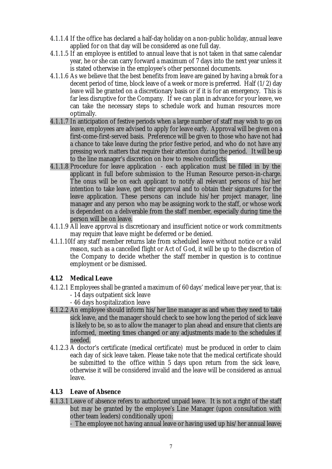- 4.1.1.4 If the office has declared a half-day holiday on a non-public holiday, annual leave applied for on that day will be considered as one full day.
- 4.1.1.5 If an employee is entitled to annual leave that is not taken in that same calendar year, he or she can carry forward a maximum of 7 days into the next year unless it is stated otherwise in the employee's other personnel documents.
- 4.1.1.6 As we believe that the best benefits from leave are gained by having a break for a decent period of time, block leave of a week or more is preferred. Half (1/2) day leave will be granted on a discretionary basis or if it is for an emergency. This is far less disruptive for the Company. If we can plan in advance for your leave, we can take the necessary steps to schedule work and human resources more optimally.
- 4.1.1.7 In anticipation of festive periods when a large number of staff may wish to go on leave, employees are advised to apply for leave early. Approval will be given on a first-come-first-served basis. Preference will be given to those who have not had a chance to take leave during the prior festive period, and who do not have any pressing work matters that require their attention during the period. It will be up to the line manager's discretion on how to resolve conflicts.
- 4.1.1.8 Procedure for leave application each application must be filled in by the applicant in full before submission to the Human Resource person-in-charge. The onus will be on each applicant to notify all relevant persons of his/her intention to take leave, get their approval and to obtain their signatures for the leave application. These persons can include his/her project manager, line manager and any person who may be assigning work to the staff, or whose work is dependent on a deliverable from the staff member, especially during time the person will be on leave.
- 4.1.1.9 All leave approval is discretionary and insufficient notice or work commitments may require that leave might be deferred or be denied.
- 4.1.1.10If any staff member returns late from scheduled leave without notice or a valid reason, such as a cancelled flight or Act of God, it will be up to the discretion of the Company to decide whether the staff member in question is to continue employment or be dismissed.

# **4.1.2 Medical Leave**

- 4.1.2.1 Employees shall be granted a maximum of 60 days' medical leave per year, that is: - 14 days outpatient sick leave
	- 46 days hospitalization leave
- 4.1.2.2 An employee should inform his/her line manager as and when they need to take sick leave, and the manager should check to see how long the period of sick leave is likely to be, so as to allow the manager to plan ahead and ensure that clients are informed, meeting times changed or any adjustments made to the schedules if needed.
- 4.1.2.3 A doctor's certificate (medical certificate) must be produced in order to claim each day of sick leave taken. Please take note that the medical certificate should be submitted to the office within 5 days upon return from the sick leave, otherwise it will be considered invalid and the leave will be considered as annual leave.

#### **4.1.3 Leave of Absence**

4.1.3.1 Leave of absence refers to authorized unpaid leave. It is not a right of the staff but may be granted by the employee's Line Manager (upon consultation with other team leaders) conditionally upon:

- The employee not having annual leave or having used up his/her annual leave;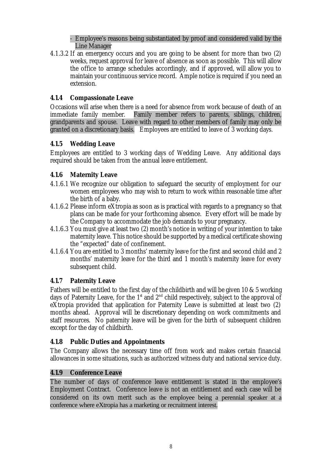- Employee's reasons being substantiated by proof and considered valid by the Line Manager

4.1.3.2 If an emergency occurs and you are going to be absent for more than two (2) weeks, request approval for leave of absence as soon as possible. This will allow the office to arrange schedules accordingly, and if approved, will allow you to maintain your continuous service record. Ample notice is required if you need an extension.

# **4.1.4 Compassionate Leave**

Occasions will arise when there is a need for absence from work because of death of an immediate family member. Family member refers to parents, siblings, children, grandparents and spouse. Leave with regard to other members of family may only be granted on a discretionary basis. Employees are entitled to leave of 3 working days.

# **4.1.5 Wedding Leave**

Employees are entitled to 3 working days of Wedding Leave. Any additional days required should be taken from the annual leave entitlement.

# **4.1.6 Maternity Leave**

- 4.1.6.1 We recognize our obligation to safeguard the security of employment for our women employees who may wish to return to work within reasonable time after the birth of a baby.
- 4.1.6.2 Please inform eXtropia as soon as is practical with regards to a pregnancy so that plans can be made for your forthcoming absence. Every effort will be made by the Company to accommodate the job demands to your pregnancy.
- 4.1.6.3 You must give at least two (2) month's notice in writing of your intention to take maternity leave. This notice should be supported by a medical certificate showing the "expected" date of confinement.
- 4.1.6.4 You are entitled to 3 months' maternity leave for the first and second child and 2 months' maternity leave for the third and 1 month's maternity leave for every subsequent child.

# **4.1.7 Paternity Leave**

Fathers will be entitled to the first day of the childbirth and will be given 10 & 5 working days of Paternity Leave, for the 1<sup>st</sup> and  $2<sup>nd</sup>$  child respectively, subject to the approval of eXtropia provided that application for Paternity Leave is submitted at least two (2) months ahead. Approval will be discretionary depending on work commitments and staff resources. No paternity leave will be given for the birth of subsequent children except for the day of childbirth.

# **4.1.8 Public Duties and Appointments**

The Company allows the necessary time off from work and makes certain financial allowances in some situations, such as authorized witness duty and national service duty.

# **4.1.9 Conference Leave**

The number of days of conference leave entitlement is stated in the employee's Employment Contract. Conference leave is not an entitlement and each case will be considered on its own merit such as the employee being a perennial speaker at a conference where eXtropia has a marketing or recruitment interest.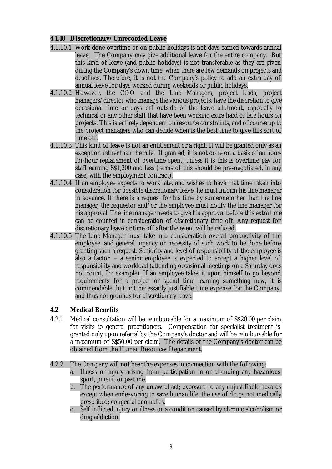## **4.1.10 Discretionary/Unrecorded Leave**

- 4.1.10.1 Work done overtime or on public holidays is not days earned towards annual leave. The Company may give additional leave for the entire company. But this kind of leave (and public holidays) is not transferable as they are given during the Company's down time, when there are few demands on projects and deadlines. Therefore, it is not the Company's policy to add an extra day of annual leave for days worked during weekends or public holidays.
- 4.1.10.2 However, the COO and the Line Managers, project leads, project managers/director who manage the various projects, have the discretion to give occasional time or days off outside of the leave allotment, especially to technical or any other staff that have been working extra hard or late hours on projects. This is entirely dependent on resource constraints, and of course up to the project managers who can decide when is the best time to give this sort of time off.
- 4.1.10.3 This kind of leave is not an entitlement or a right. It will be granted only as an exception rather than the rule. If granted, it is not done on a basis of an hourfor-hour replacement of overtime spent, unless it is this is overtime pay for staff earning S\$1,200 and less (terms of this should be pre-negotiated, in any case, with the employment contract).
- 4.1.10.4 If an employee expects to work late, and wishes to have that time taken into consideration for possible discretionary leave, he must inform his line manager in advance. If there is a request for his time by someone other than the line manager, the requestor and/or the employee must notify the line manager for his approval. The line manager needs to give his approval before this extra time can be counted in consideration of discretionary time off. Any request for discretionary leave or time off after the event will be refused.
- 4.1.10.5 The Line Manager must take into consideration overall productivity of the employee, and general urgency or necessity of such work to be done before granting such a request. Seniority and level of responsibility of the employee is also a factor – a senior employee is expected to accept a higher level of responsibility and workload (attending occasional meetings on a Saturday does not count, for example). If an employee takes it upon himself to go beyond requirements for a project or spend time learning something new, it is commendable, but not necessarily justifiable time expense for the Company, and thus not grounds for discretionary leave.

# **4.2 Medical Benefits**

4.2.1 Medical consultation will be reimbursable for a maximum of S\$20.00 per claim for visits to general practitioners. Compensation for specialist treatment is granted only upon referral by the Company's doctor and will be reimbursable for a maximum of S\$50.00 per claim. The details of the Company's doctor can be obtained from the Human Resources Department.

4.2.2 The Company will **not** bear the expenses in connection with the following:

- a. Illness or injury arising from participation in or attending any hazardous sport, pursuit or pastime.
- b. The performance of any unlawful act; exposure to any unjustifiable hazards except when endeavoring to save human life; the use of drugs not medically prescribed; congenial anomalies.
- c. Self inflicted injury or illness or a condition caused by chronic alcoholism or drug addiction.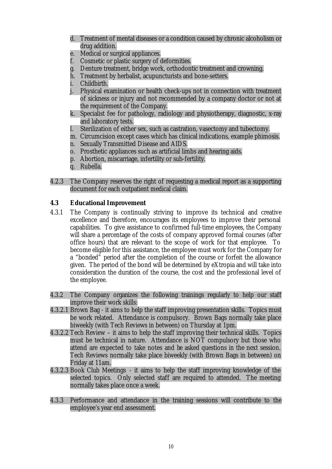- d. Treatment of mental diseases or a condition caused by chronic alcoholism or drug addition.
- e. Medical or surgical appliances.
- f. Cosmetic or plastic surgery of deformities.
- g. Denture treatment, bridge work, orthodontic treatment and crowning.
- h. Treatment by herbalist, acupuncturists and bone-setters.
- i. Childbirth.
- j. Physical examination or health check-ups not in connection with treatment of sickness or injury and not recommended by a company doctor or not at the requirement of the Company.
- k. Specialist fee for pathology, radiology and physiotherapy, diagnostic, x-ray and laboratory tests.
- l. Sterilization of either sex, such as castration, vasectomy and tubectomy.
- m. Circumcision except cases which has clinical indications, example phimosis.
- n. Sexually Transmitted Disease and AIDS.
- o. Prosthetic appliances such as artificial limbs and hearing aids.
- p. Abortion, miscarriage, infertility or sub-fertility.
- q. Rubella.
- 4.2.3 The Company reserves the right of requesting a medical report as a supporting document for each outpatient medical claim.

## **4.3 Educational Improvement**

- 4.3.1 The Company is continually striving to improve its technical and creative excellence and therefore, encourages its employees to improve their personal capabilities. To give assistance to confirmed full-time employees, the Company will share a percentage of the costs of company approved formal courses (after office hours) that are relevant to the scope of work for that employee. To become eligible for this assistance, the employee must work for the Company for a "bonded" period after the completion of the course or forfeit the allowance given. The period of the bond will be determined by eXtropia and will take into consideration the duration of the course, the cost and the professional level of the employee.
- 4.3.2 The Company organizes the following trainings regularly to help our staff improve their work skills:
- 4.3.2.1 Brown Bag it aims to help the staff improving presentation skills. Topics must be work related. Attendance is compulsory. Brown Bags normally take place biweekly (with Tech Reviews in between) on Thursday at 1pm.
- 4.3.2.2 Tech Review it aims to help the staff improving their technical skills. Topics must be technical in nature. Attendance is NOT compulsory but those who attend are expected to take notes and be asked questions in the next session. Tech Reviews normally take place biweekly (with Brown Bags in between) on Friday at 11am.
- 4.3.2.3 Book Club Meetings it aims to help the staff improving knowledge of the selected topics. Only selected staff are required to attended. The meeting normally takes place once a week.
- 4.3.3 Performance and attendance in the training sessions will contribute to the employee's year end assessment.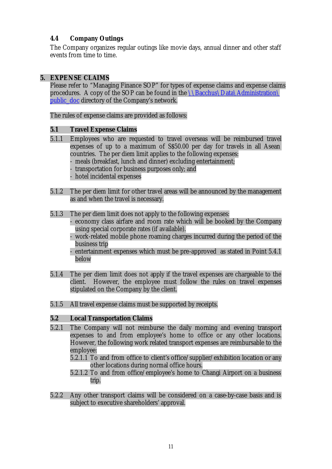## **4.4 Company Outings**

The Company organizes regular outings like movie days, annual dinner and other staff events from time to time.

#### **5. EXPENSE CLAIMS**

Please refer to "Managing Finance SOP" for types of expense claims and expense claims procedures. A copy of the SOP can be found in the  $\Bbb N$ Bacchus $\Delta\Administration$ public doc directory of the Company's network.

The rules of expense claims are provided as follows:

#### **5.1 Travel Expense Claims**

- 5.1.1 Employees who are requested to travel overseas will be reimbursed travel expenses of up to a maximum of S\$50.00 per day for travels in all Asean countries. The per diem limit applies to the following expenses: meals (breakfast, lunch and dinner) excluding entertainment; transportation for business purposes only; and
	- hotel incidental expenses
- 5.1.2 The per diem limit for other travel areas will be announced by the management as and when the travel is necessary.
- 5.1.3 The per diem limit does not apply to the following expenses:
	- economy class airfare and room rate which will be booked by the Company using special corporate rates (if available).
	- work-related mobile phone roaming charges incurred during the period of the business trip
	- entertainment expenses which must be pre-approved as stated in Point 5.4.1 below
- 5.1.4 The per diem limit does not apply if the travel expenses are chargeable to the client. However, the employee must follow the rules on travel expenses stipulated on the Company by the client.
- 5.1.5 All travel expense claims must be supported by receipts.

#### **5.2 Local Transportation Claims**

- 5.2.1 The Company will not reimburse the daily morning and evening transport expenses to and from employee's home to office or any other locations. However, the following work related transport expenses are reimbursable to the employee:
	- 5.2.1.1 To and from office to client's office/supplier/exhibition location or any other locations during normal office hours.
	- 5.2.1.2 To and from office/employee's home to Changi Airport on a business trip.
- 5.2.2 Any other transport claims will be considered on a case-by-case basis and is subject to executive shareholders' approval.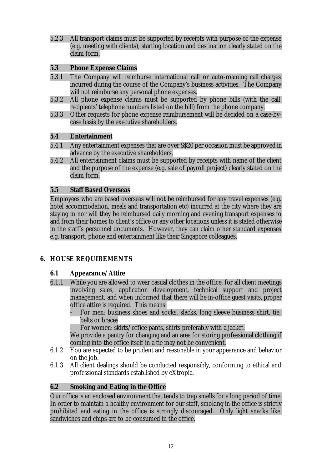5.2.3 All transport claims must be supported by receipts with purpose of the expense (e.g. meeting with clients), starting location and destination clearly stated on the claim form.

## **5.3 Phone Expense Claims**

- 5.3.1 The Company will reimburse international call or auto-roaming call charges incurred during the course of the Company's business activities. The Company will not reimburse any personal phone expenses.
- 5.3.2 All phone expense claims must be supported by phone bills (with the call recipients' telephone numbers listed on the bill) from the phone company.
- 5.3.3 Other requests for phone expense reimbursement will be decided on a case-bycase basis by the executive shareholders.

## **5.4 Entertainment**

- 5.4.1 Any entertainment expenses that are over S\$20 per occasion must be approved in advance by the executive shareholders.
- 5.4.2 All entertainment claims must be supported by receipts with name of the client and the purpose of the expense (e.g. sale of payroll project) clearly stated on the claim form.

## **5.5 Staff Based Overseas**

Employees who are based overseas will not be reimbursed for any travel expenses (e.g. hotel accommodation, meals and transportation etc) incurred at the city where they are staying in nor will they be reimbursed daily morning and evening transport expenses to and from their homes to client's office or any other locations unless it is stated otherwise in the staff's personnel documents. However, they can claim other standard expenses e.g. transport, phone and entertainment like their Singapore colleagues.

# **6. HOUSE REQUIREMENTS**

#### **6.1 Appearance/Attire**

- 6.1.1 While you are allowed to wear casual clothes in the office, for all client meetings involving sales, application development, technical support and project management, and when informed that there will be in-office guest visits, proper office attire is required. This means:
	- For men: business shoes and socks, slacks, long sleeve business shirt, tie, belts or braces
	- For women: skirts/office pants, shirts preferably with a jacket.

We provide a pantry for changing and an area for storing professional clothing if coming into the office itself in a tie may not be convenient.

- 6.1.2 You are expected to be prudent and reasonable in your appearance and behavior on the job.
- 6.1.3 All client dealings should be conducted responsibly, conforming to ethical and professional standards established by eXtropia.

# **6.2 Smoking and Eating in the Office**

Our office is an enclosed environment that tends to trap smells for a long period of time. In order to maintain a healthy environment for our staff, smoking in the office is strictly prohibited and eating in the office is strongly discouraged. Only light snacks like sandwiches and chips are to be consumed in the office.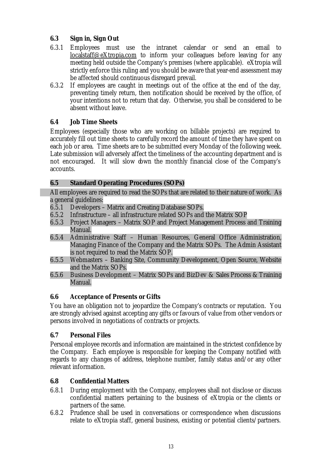# **6.3 Sign in, Sign Out**

- 6.3.1 Employees must use the intranet calendar or send an email to localstaff@eXtropia.com to inform your colleagues before leaving for any meeting held outside the Company's premises (where applicable). eXtropia will strictly enforce this ruling and you should be aware that year-end assessment may be affected should continuous disregard prevail.
- 6.3.2 If employees are caught in meetings out of the office at the end of the day, preventing timely return, then notification should be received by the office, of your intentions not to return that day. Otherwise, you shall be considered to be absent without leave.

# **6.4 Job Time Sheets**

Employees (especially those who are working on billable projects) are required to accurately fill out time sheets to carefully record the amount of time they have spent on each job or area. Time sheets are to be submitted every Monday of the following week. Late submission will adversely affect the timeliness of the accounting department and is not encouraged. It will slow down the monthly financial close of the Company's accounts.

# **6.5 Standard Operating Procedures (SOPs)**

All employees are required to read the SOPs that are related to their nature of work. As a general guidelines:

- 6.5.1 Developers Matrix and Creating Database SOPs.
- 6.5.2 Infrastructure all infrastructure related SOPs and the Matrix SOP
- 6.5.3 Project Managers Matrix SOP and Project Management Process and Training Manual.
- 6.5.4 Administrative Staff Human Resources, General Office Administration, Managing Finance of the Company and the Matrix SOPs. The Admin Assistant is not required to read the Matrix SOP.
- 6.5.5 Webmasters Banking Site, Community Development, Open Source, Website and the Matrix SOPs.
- 6.5.6 Business Development Matrix SOPs and BizDev & Sales Process & Training Manual.

# **6.6 Acceptance of Presents or Gifts**

You have an obligation not to jeopardize the Company's contracts or reputation. You are strongly advised against accepting any gifts or favours of value from other vendors or persons involved in negotiations of contracts or projects.

# **6.7 Personal Files**

Personal employee records and information are maintained in the strictest confidence by the Company. Each employee is responsible for keeping the Company notified with regards to any changes of address, telephone number, family status and/or any other relevant information.

# **6.8 Confidential Matters**

- 6.8.1 During employment with the Company, employees shall not disclose or discuss confidential matters pertaining to the business of eXtropia or the clients or partners of the same.
- 6.8.2 Prudence shall be used in conversations or correspondence when discussions relate to eXtropia staff, general business, existing or potential clients/partners.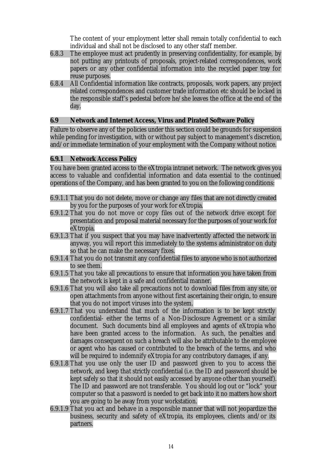The content of your employment letter shall remain totally confidential to each individual and shall not be disclosed to any other staff member.

- 6.8.3 The employee must act prudently in preserving confidentiality, for example, by not putting any printouts of proposals, project-related correspondences, work papers or any other confidential information into the recycled paper tray for reuse purposes.
- 6.8.4 All Confidential information like contracts, proposals, work papers, any project related correspondences and customer trade information etc should be locked in the responsible staff's pedestal before he/she leaves the office at the end of the day.

#### **6.9 Network and Internet Access, Virus and Pirated Software Policy**

Failure to observe any of the policies under this section could be grounds for suspension while pending for investigation, with or without pay subject to management's discretion, and/or immediate termination of your employment with the Company without notice.

#### **6.9.1 Network Access Policy**

You have been granted access to the eXtropia intranet network. The network gives you access to valuable and confidential information and data essential to the continued operations of the Company, and has been granted to you on the following conditions:

- 6.9.1.1 That you do not delete, move or change any files that are not directly created by you for the purposes of your work for eXtropia.
- 6.9.1.2 That you do not move or copy files out of the network drive except for presentation and proposal material necessary for the purposes of your work for eXtropia.
- 6.9.1.3 That if you suspect that you may have inadvertently affected the network in anyway, you will report this immediately to the systems administrator on duty so that he can make the necessary fixes.
- 6.9.1.4 That you do not transmit any confidential files to anyone who is not authorized to see them.
- 6.9.1.5 That you take all precautions to ensure that information you have taken from the network is kept in a safe and confidential manner.
- 6.9.1.6 That you will also take all precautions not to download files from any site, or open attachments from anyone without first ascertaining their origin, to ensure that you do not import viruses into the system.
- 6.9.1.7 That you understand that much of the information is to be kept strictly confidential- either the terms of a Non-Disclosure Agreement or a similar document. Such documents bind all employees and agents of eXtropia who have been granted access to the information. As such, the penalties and damages consequent on such a breach will also be attributable to the employee or agent who has caused or contributed to the breach of the terms, and who will be required to indemnify eXtropia for any contributory damages, if any.
- 6.9.1.8 That you use only the user ID and password given to you to access the network, and keep that strictly confidential (i.e. the ID and password should be kept safely so that it should not easily accessed by anyone other than yourself). The ID and password are not transferable. You should log out or "lock" your computer so that a password is needed to get back into it no matters how short you are going to be away from your workstation.
- 6.9.1.9 That you act and behave in a responsible manner that will not jeopardize the business, security and safety of eXtropia, its employees, clients and/or its partners.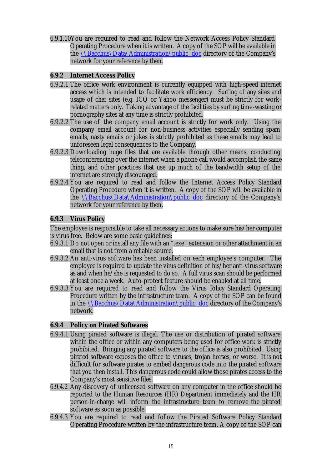6.9.1.10You are required to read and follow the Network Access Policy Standard Operating Procedure when it is written. A copy of the SOP will be available in the  $\Bbb N$ Bacchus $\D$ ata $\Adm$ inistration $\pmb{\text{loc}}$  directory of the Company's network for your reference by then.

#### **6.9.2 Internet Access Policy**

- 6.9.2.1 The office work environment is currently equipped with high-speed internet access which is intended to facilitate work efficiency. Surfing of any sites and usage of chat sites (e.g. ICQ or Yahoo messenger) must be strictly for workrelated matters only. Taking advantage of the facilities by surfing time-wasting or pornography sites at any time is strictly prohibited.
- 6.9.2.2 The use of the company email account is strictly for work only. Using the company email account for non-business activities especially sending spam emails, nasty emails or jokes is strictly prohibited as these emails may lead to unforeseen legal consequences to the Company.
- 6.9.2.3 Downloading huge files that are available through other means, conducting teleconferencing over the internet when a phone call would accomplish the same thing, and other practices that use up much of the bandwidth setup of the internet are strongly discouraged.
- 6.9.2.4 You are required to read and follow the Internet Access Policy Standard Operating Procedure when it is written. A copy of the SOP will be available in the  $\Delta\Delta\Administration\public\ doc\ director\ of\ the\ Company's$ network for your reference by then.

#### **6.9.3 Virus Policy**

The employee is responsible to take all necessary actions to make sure his/her computer is virus free. Below are some basic guidelines:

- 6.9.3.1 Do not open or install any file with an ".exe" extension or other attachment in an email that is not from a reliable source.
- 6.9.3.2 An anti-virus software has been installed on each employee's computer. The employee is required to update the virus definition of his/her anti-virus software as and when he/she is requested to do so. A full virus scan should be performed at least once a week. Auto-protect feature should be enabled at all time.
- 6.9.3.3 You are required to read and follow the Virus Policy Standard Operating Procedure written by the infrastructure team. A copy of the SOP can be found in the  $\Delta\Delta\Delta\$ dministration\public\_doc directory of the Company's network.

#### **6.9.4 Policy on Pirated Softwares**

- 6.9.4.1 Using pirated software is illegal. The use or distribution of pirated software within the office or within any computers being used for office work is strictly prohibited. Bringing any pirated software to the office is also prohibited. Using pirated software exposes the office to viruses, trojan horses, or worse. It is not difficult for software pirates to embed dangerous code into the pirated software that you then install. This dangerous code could allow those pirates access to the Company's most sensitive files.
- 6.9.4.2 Any discovery of unlicensed software on any computer in the office should be reported to the Human Resources (HR) Department immediately and the HR person-in-charge will inform the infrastructure team to remove the pirated software as soon as possible.
- 6.9.4.3 You are required to read and follow the Pirated Software Policy Standard Operating Procedure written by the infrastructure team. A copy of the SOP can